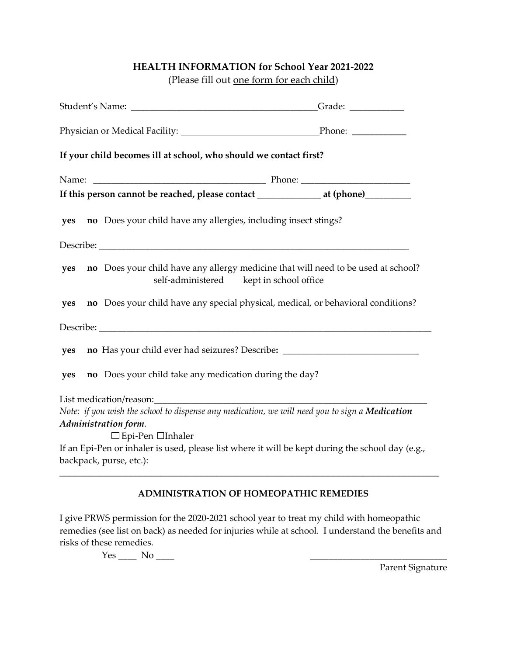## **HEALTH INFORMATION for School Year 2021-2022**

(Please fill out one form for each child)

| If an Epi-Pen or inhaler is used, please list where it will be kept during the school day (e.g., |  |
|--------------------------------------------------------------------------------------------------|--|
| no Does your child have any allergy medicine that will need to be used at school?                |  |

## **ADMINISTRATION OF HOMEOPATHIC REMEDIES**

I give PRWS permission for the 2020-2021 school year to treat my child with homeopathic remedies (see list on back) as needed for injuries while at school. I understand the benefits and risks of these remedies.

 $Yes \_\_\_$  No  $\_\_\_$ 

Parent Signature